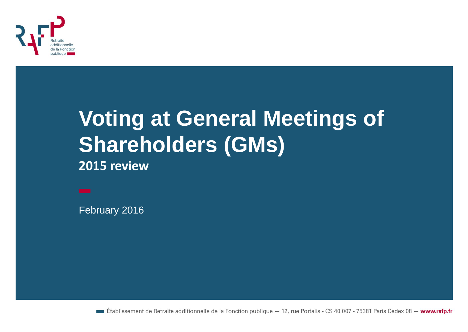

## **Voting at General Meetings of Shareholders (GMs)**

**2015 review**

February 2016

**Etablissement de Retraite additionnelle de la Fonction publique**  $-12$ , rue Portalis - CS 40 007 - 75381 Paris Cedex 08 - www.rafp.fr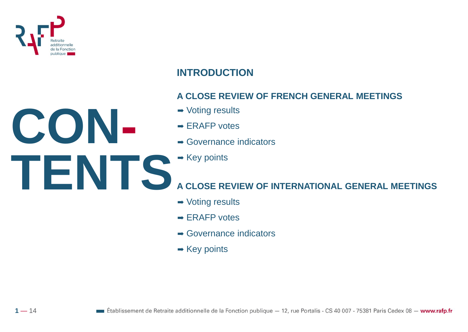

**CON-**

 $1 - 14$ 

## **INTRODUCTION**

### **A CLOSE REVIEW OF FRENCH GENERAL MEETINGS**

- ➡ Voting results
- $\rightarrow$  ERAFP votes
- **→ Governance indicators**
- **TENTS**  $\rightarrow$  Key points

## **A CLOSE REVIEW OF INTERNATIONAL GENERAL MEETINGS**

- **→ Voting results**
- $\rightarrow$  ERAFP votes
- $\rightarrow$  Governance indicators
- $\rightarrow$  Key points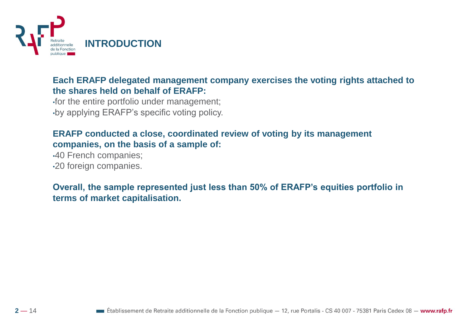

#### **Each ERAFP delegated management company exercises the voting rights attached to the shares held on behalf of ERAFP:**

•for the entire portfolio under management; •by applying ERAFP's specific voting policy.

### **ERAFP conducted a close, coordinated review of voting by its management companies, on the basis of a sample of:**

•40 French companies; •20 foreign companies.

### **Overall, the sample represented just less than 50% of ERAFP's equities portfolio in terms of market capitalisation.**



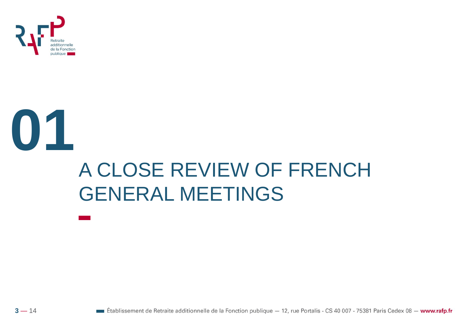

## **01** A CLOSE REVIEW OF FRENCH GENERAL MEETINGS

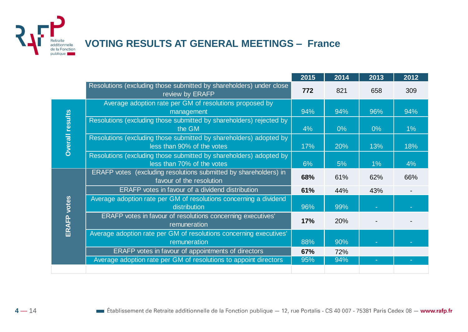

## **VOTING RESULTS AT GENERAL MEETINGS – France**

|                        |                                                                                                  | 2015 | 2014  | 2013  | 2012  |
|------------------------|--------------------------------------------------------------------------------------------------|------|-------|-------|-------|
|                        | Resolutions (excluding those submitted by shareholders) under close<br>review by ERAFP           | 772  | 821   | 658   | 309   |
| <b>Overall results</b> | Average adoption rate per GM of resolutions proposed by<br>management                            | 94%  | 94%   | 96%   | 94%   |
|                        | Resolutions (excluding those submitted by shareholders) rejected by<br>the GM                    | 4%   | $0\%$ | $0\%$ | $1\%$ |
|                        | Resolutions (excluding those submitted by shareholders) adopted by<br>less than 90% of the votes | 17%  | 20%   | 13%   | 18%   |
|                        | Resolutions (excluding those submitted by shareholders) adopted by<br>less than 70% of the votes | 6%   | 5%    | $1\%$ | 4%    |
| <b>ERAFP</b> votes     | ERAFP votes (excluding resolutions submitted by shareholders) in<br>favour of the resolution     | 68%  | 61%   | 62%   | 66%   |
|                        | ERAFP votes in favour of a dividend distribution                                                 | 61%  | 44%   | 43%   |       |
|                        | Average adoption rate per GM of resolutions concerning a dividend<br>distribution                | 96%  | 99%   |       |       |
|                        | ERAFP votes in favour of resolutions concerning executives'<br>remuneration                      | 17%  | 20%   |       |       |
|                        | Average adoption rate per GM of resolutions concerning executives'<br>remuneration               | 88%  | 90%   |       |       |
|                        | <b>ERAFP</b> votes in favour of appointments of directors                                        | 67%  | 72%   |       |       |
|                        | Average adoption rate per GM of resolutions to appoint directors                                 | 95%  | 94%   |       |       |
|                        |                                                                                                  |      |       |       |       |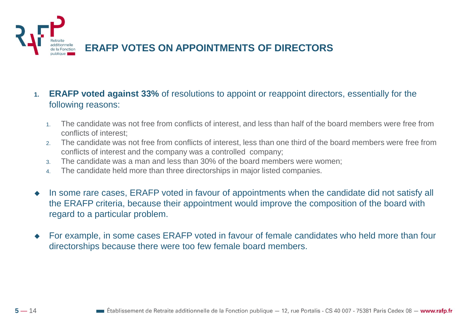

- **1. ERAFP voted against 33%** of resolutions to appoint or reappoint directors, essentially for the following reasons:
	- 1. The candidate was not free from conflicts of interest, and less than half of the board members were free from conflicts of interest;
	- 2. The candidate was not free from conflicts of interest, less than one third of the board members were free from conflicts of interest and the company was a controlled company;
	- 3. The candidate was a man and less than 30% of the board members were women;
	- 4. The candidate held more than three directorships in major listed companies.
- In some rare cases, ERAFP voted in favour of appointments when the candidate did not satisfy all the ERAFP criteria, because their appointment would improve the composition of the board with regard to a particular problem.
- For example, in some cases ERAFP voted in favour of female candidates who held more than four directorships because there were too few female board members.

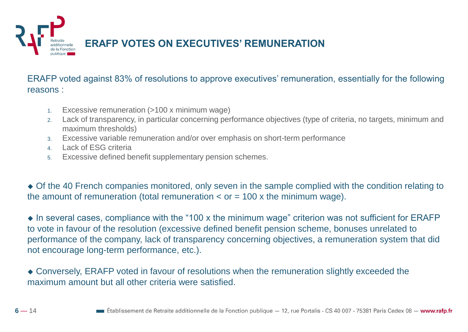

ERAFP voted against 83% of resolutions to approve executives' remuneration, essentially for the following reasons :

- 1. Excessive remuneration (>100 x minimum wage)
- 2. Lack of transparency, in particular concerning performance objectives (type of criteria, no targets, minimum and maximum thresholds)
- 3. Excessive variable remuneration and/or over emphasis on short-term performance
- 4. Lack of ESG criteria
- 5. Excessive defined benefit supplementary pension schemes.

 Of the 40 French companies monitored, only seven in the sample complied with the condition relating to the amount of remuneration (total remuneration  $\lt$  or = 100 x the minimum wage).

 $\bullet$  In several cases, compliance with the "100 x the minimum wage" criterion was not sufficient for ERAFP to vote in favour of the resolution (excessive defined benefit pension scheme, bonuses unrelated to performance of the company, lack of transparency concerning objectives, a remuneration system that did not encourage long-term performance, etc.).

 Conversely, ERAFP voted in favour of resolutions when the remuneration slightly exceeded the maximum amount but all other criteria were satisfied.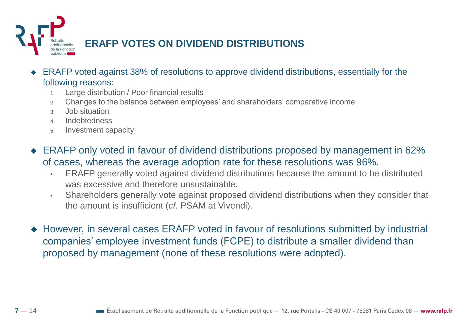

- ERAFP voted against 38% of resolutions to approve dividend distributions, essentially for the following reasons:
	- 1. Large distribution / Poor financial results
	- 2. Changes to the balance between employees' and shareholders' comparative income
	- 3. Job situation
	- 4. Indebtedness
	- 5. Investment capacity
- ◆ ERAFP only voted in favour of dividend distributions proposed by management in 62% of cases, whereas the average adoption rate for these resolutions was 96%.
	- ERAFP generally voted against dividend distributions because the amount to be distributed was excessive and therefore unsustainable.
	- Shareholders generally vote against proposed dividend distributions when they consider that the amount is insufficient (*cf*. PSAM at Vivendi).
- However, in several cases ERAFP voted in favour of resolutions submitted by industrial companies' employee investment funds (FCPE) to distribute a smaller dividend than proposed by management (none of these resolutions were adopted).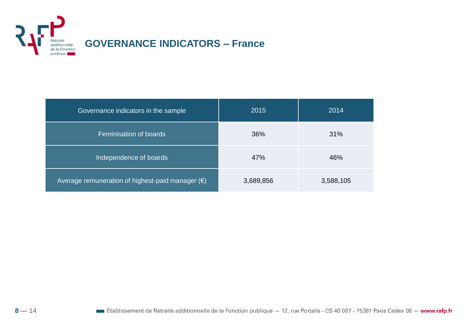

| Governance indicators in the sample                       | 2015      | 2014      |
|-----------------------------------------------------------|-----------|-----------|
| Feminisation of boards                                    | 36%       | 31%       |
| Independence of boards                                    | 47%       | 46%       |
| Average remuneration of highest-paid manager $(\epsilon)$ | 3,689,856 | 3,588,105 |

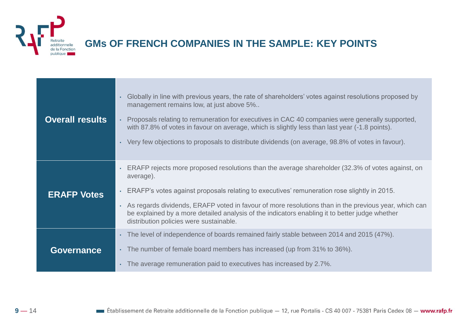

 $9 - 14$ 

### **GMs OF FRENCH COMPANIES IN THE SAMPLE: KEY POINTS**

| <b>Overall results</b> | Globally in line with previous years, the rate of shareholders' votes against resolutions proposed by<br>$\bullet$<br>management remains low, at just above 5%<br>Proposals relating to remuneration for executives in CAC 40 companies were generally supported,<br>with 87.8% of votes in favour on average, which is slightly less than last year (-1.8 points).<br>. Very few objections to proposals to distribute dividends (on average, 98.8% of votes in favour).                                |
|------------------------|----------------------------------------------------------------------------------------------------------------------------------------------------------------------------------------------------------------------------------------------------------------------------------------------------------------------------------------------------------------------------------------------------------------------------------------------------------------------------------------------------------|
| <b>ERAFP Votes</b>     | ERAFP rejects more proposed resolutions than the average shareholder (32.3% of votes against, on<br>$\bullet$<br>average).<br>ERAFP's votes against proposals relating to executives' remuneration rose slightly in 2015.<br>$\bullet$<br>As regards dividends, ERAFP voted in favour of more resolutions than in the previous year, which can<br>$\bullet$<br>be explained by a more detailed analysis of the indicators enabling it to better judge whether<br>distribution policies were sustainable. |
| <b>Governance</b>      | The level of independence of boards remained fairly stable between 2014 and 2015 (47%).<br>$\bullet$<br>The number of female board members has increased (up from 31% to 36%).<br>$\bullet$<br>The average remuneration paid to executives has increased by 2.7%.<br>$\bullet$                                                                                                                                                                                                                           |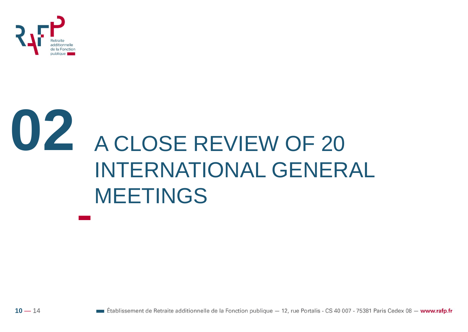

# **02** A CLOSE REVIEW OF 20 INTERNATIONAL GENERAL MEETINGS

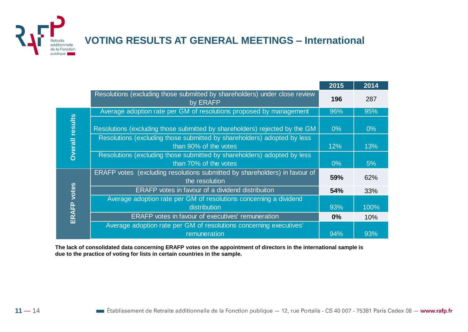**VOTING RESULTS AT GENERAL MEETINGS – International** 

|                        |                                                                                                  | 2015  | 2014  |
|------------------------|--------------------------------------------------------------------------------------------------|-------|-------|
|                        | Resolutions (excluding those submitted by shareholders) under close review<br>by ERAFP           | 196   | 287   |
| <b>Overall results</b> | Average adoption rate per GM of resolutions proposed by management                               | 96%   | 95%   |
|                        | Resolutions (excluding those submitted by shareholders) rejected by the GM                       | $0\%$ | $0\%$ |
|                        | Resolutions (excluding those submitted by shareholders) adopted by less<br>than 90% of the votes | 12%   | 13%   |
|                        | Resolutions (excluding those submitted by shareholders) adopted by less<br>than 70% of the votes | $0\%$ | 5%    |
|                        | ERAFP votes (excluding resolutions submitted by shareholders) in favour of<br>the resolution     | 59%   | 62%   |
| votes                  | <b>ERAFP</b> votes in favour of a dividend distribuiton                                          | 54%   | 33%   |
|                        | Average adoption rate per GM of resolutions concerning a dividend<br>distribution                | 93%   | 100%  |
| ERAFP                  | <b>ERAFP</b> votes in favour of executives' remuneration                                         | $0\%$ | 10%   |
|                        | Average adoption rate per GM of resolutions concerning executives'<br>remuneration               | 94%   | 93%   |

**The lack of consolidated data concerning ERAFP votes on the appointment of directors in the international sample is due to the practice of voting for lists in certain countries in the sample.**



Retraite additionnelle de la Fonction publique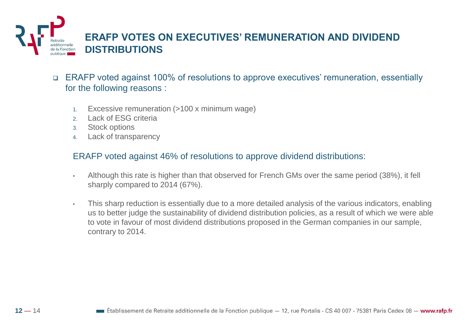

- ERAFP voted against 100% of resolutions to approve executives' remuneration, essentially for the following reasons :
	- 1. Excessive remuneration (>100 x minimum wage)
	- 2. Lack of ESG criteria
	- 3. Stock options
	- 4. Lack of transparency

#### ERAFP voted against 46% of resolutions to approve dividend distributions:

- Although this rate is higher than that observed for French GMs over the same period (38%), it fell sharply compared to 2014 (67%).
- This sharp reduction is essentially due to a more detailed analysis of the various indicators, enabling us to better judge the sustainability of dividend distribution policies, as a result of which we were able to vote in favour of most dividend distributions proposed in the German companies in our sample, contrary to 2014.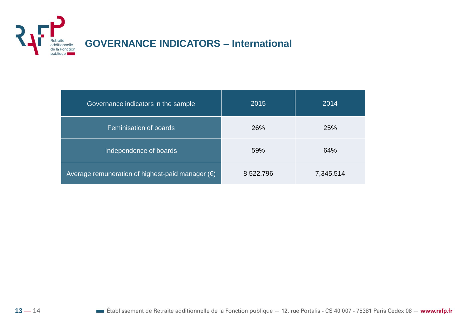

### **GOVERNANCE INDICATORS – International**

| Governance indicators in the sample                       | 2015      | 2014      |
|-----------------------------------------------------------|-----------|-----------|
| Feminisation of boards                                    | 26%       | 25%       |
| Independence of boards                                    | 59%       | 64%       |
| Average remuneration of highest-paid manager $(\epsilon)$ | 8,522,796 | 7,345,514 |